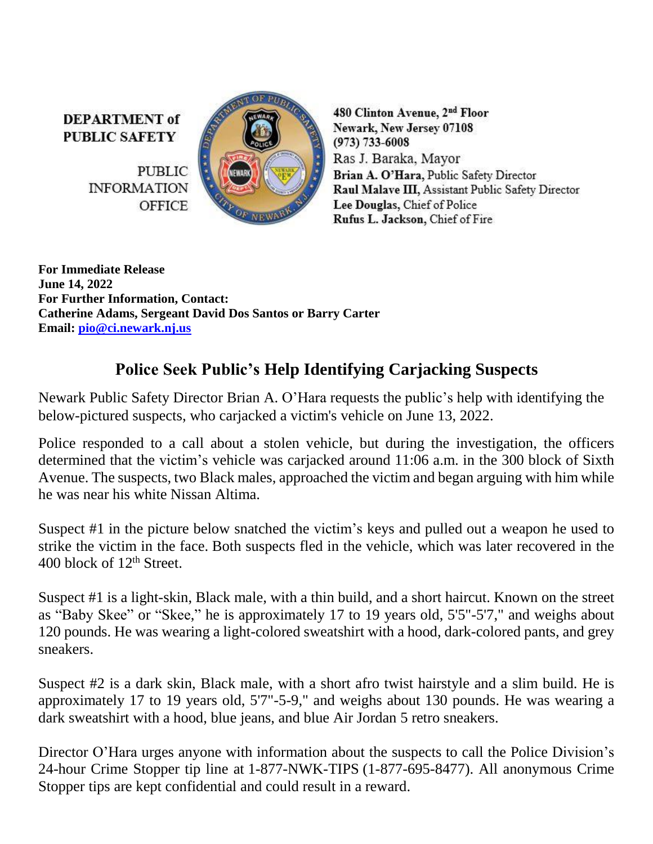**DEPARTMENT** of **PUBLIC SAFETY** 

> **PUBLIC INFORMATION OFFICE**



480 Clinton Avenue, 2<sup>nd</sup> Floor Newark, New Jersey 07108  $(973) 733 - 6008$ Ras J. Baraka, Mayor Brian A. O'Hara, Public Safety Director Raul Malave III, Assistant Public Safety Director Lee Douglas, Chief of Police Rufus L. Jackson, Chief of Fire

**For Immediate Release June 14, 2022 For Further Information, Contact: Catherine Adams, Sergeant David Dos Santos or Barry Carter Email: [pio@ci.newark.nj.us](mailto:pio@ci.newark.nj.us)**

## **Police Seek Public's Help Identifying Carjacking Suspects**

Newark Public Safety Director Brian A. O'Hara requests the public's help with identifying the below-pictured suspects, who carjacked a victim's vehicle on June 13, 2022.

Police responded to a call about a stolen vehicle, but during the investigation, the officers determined that the victim's vehicle was carjacked around 11:06 a.m. in the 300 block of Sixth Avenue. The suspects, two Black males, approached the victim and began arguing with him while he was near his white Nissan Altima.

Suspect #1 in the picture below snatched the victim's keys and pulled out a weapon he used to strike the victim in the face. Both suspects fled in the vehicle, which was later recovered in the 400 block of 12<sup>th</sup> Street.

Suspect #1 is a light-skin, Black male, with a thin build, and a short haircut. Known on the street as "Baby Skee" or "Skee," he is approximately 17 to 19 years old, 5'5"-5'7," and weighs about 120 pounds. He was wearing a light-colored sweatshirt with a hood, dark-colored pants, and grey sneakers.

Suspect #2 is a dark skin, Black male, with a short afro twist hairstyle and a slim build. He is approximately 17 to 19 years old, 5'7"-5-9," and weighs about 130 pounds. He was wearing a dark sweatshirt with a hood, blue jeans, and blue Air Jordan 5 retro sneakers.

Director O'Hara urges anyone with information about the suspects to call the Police Division's 24-hour Crime Stopper tip line at 1-877-NWK-TIPS (1-877-695-8477). All anonymous Crime Stopper tips are kept confidential and could result in a reward.